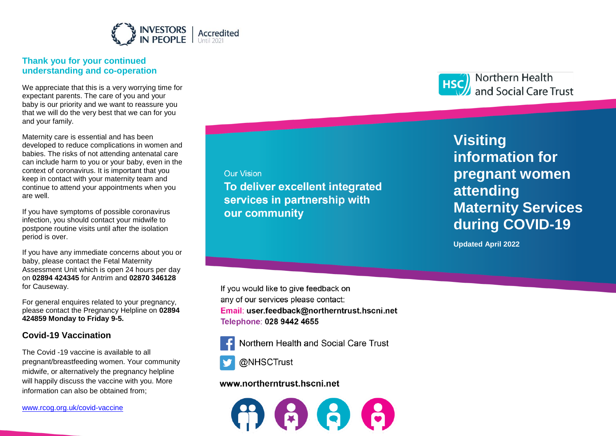

# **Thank you for your continued understanding and co -operation**

We appreciate that this is a very worrying time for expectant parents. The care of you and your baby is our priority and we want to reassure you that we will do the very best that we can for you and your family.

Maternity care is essential and has been developed to reduce complications in women and babies. The risks of not attending antenatal care can include harm to you or your baby, even in the context of coronavirus. It is important that you keep in contact with your maternity team and continue to attend your appointments when you are well.

If you have symptoms of possible coronavirus infection, you should contact your midwife to postpone routine visits until after the isolation period is over.

If you have any immediate concerns about you or baby, please contact the Fetal Maternity Assessment Unit which is open 24 hours per day on **02894 424345** for Antrim and **02870 346128**  for Causeway.

For general enquires related to your pregnancy, please contact the Pregnancy Helpline on **02894 424859 Monday to Friday 9 -5.**

# **Covid -19 Vaccination**

The Covid -19 vaccine is available to all pregnant/breastfeeding women. Your community midwife , or alternatively the pregnancy helpline will happily discuss the vaccine with you. More information can also be obtained from;

[www.rcog.org.uk/covid](http://www.rcog.org.uk/covid-vaccine)-vaccine

**Our Vision** services in partnership with our community

**Visiting information for**  Northern Health and Social Care Trust

**pregnant women** 

**Maternity Services Visiting**  *information for* **pregnant women attending Maternity Services during COVID -19**

**Updated April 2022**

If you would like to give feedback on any of our services please contact: Email: user.feedback@northerntrust.hscni.net Telephone: 028 9442 4655



Northern Health and Social Care Trust



@NHSCTrust

## www.northerntrust.hscni.net